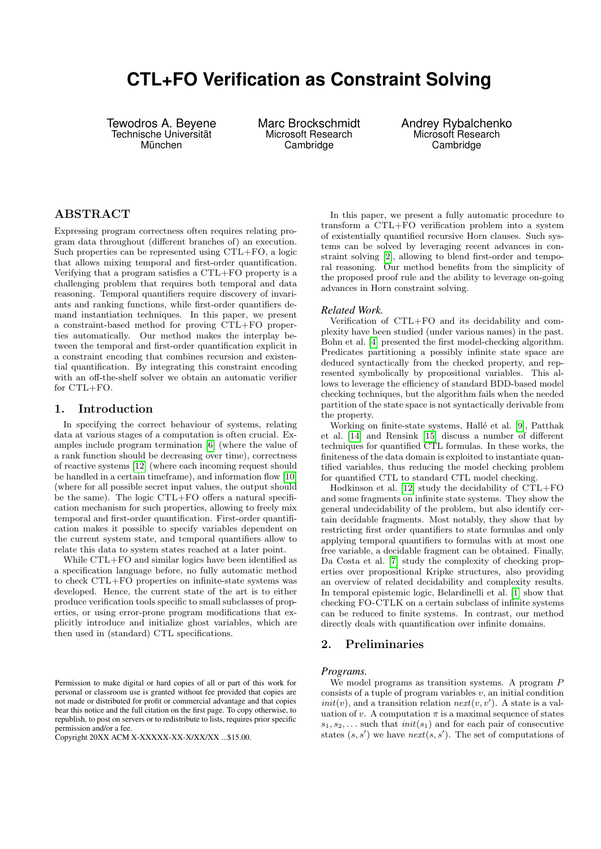# **CTL+FO Verification as Constraint Solving**

Tewodros A. Beyene Technische Universität München

Marc Brockschmidt Microsoft Research **Cambridge** 

Andrey Rybalchenko Microsoft Research **Cambridge** 

# ABSTRACT

Expressing program correctness often requires relating program data throughout (different branches of) an execution. Such properties can be represented using CTL+FO, a logic that allows mixing temporal and first-order quantification. Verifying that a program satisfies a CTL+FO property is a challenging problem that requires both temporal and data reasoning. Temporal quantifiers require discovery of invariants and ranking functions, while first-order quantifiers demand instantiation techniques. In this paper, we present a constraint-based method for proving CTL+FO properties automatically. Our method makes the interplay between the temporal and first-order quantification explicit in a constraint encoding that combines recursion and existential quantification. By integrating this constraint encoding with an off-the-shelf solver we obtain an automatic verifier for CTL+FO.

## 1. Introduction

In specifying the correct behaviour of systems, relating data at various stages of a computation is often crucial. Examples include program termination [\[6\]](#page-3-0) (where the value of a rank function should be decreasing over time), correctness of reactive systems [\[12\]](#page-3-1) (where each incoming request should be handled in a certain timeframe), and information flow [\[10\]](#page-3-2) (where for all possible secret input values, the output should be the same). The logic CTL+FO offers a natural specification mechanism for such properties, allowing to freely mix temporal and first-order quantification. First-order quantification makes it possible to specify variables dependent on the current system state, and temporal quantifiers allow to relate this data to system states reached at a later point.

While CTL+FO and similar logics have been identified as a specification language before, no fully automatic method to check CTL+FO properties on infinite-state systems was developed. Hence, the current state of the art is to either produce verification tools specific to small subclasses of properties, or using error-prone program modifications that explicitly introduce and initialize ghost variables, which are then used in (standard) CTL specifications.

Copyright 20XX ACM X-XXXXX-XX-X/XX/XX ...\$15.00.

In this paper, we present a fully automatic procedure to transform a CTL+FO verification problem into a system of existentially quantified recursive Horn clauses. Such systems can be solved by leveraging recent advances in constraint solving [\[2\]](#page-3-3), allowing to blend first-order and temporal reasoning. Our method benefits from the simplicity of the proposed proof rule and the ability to leverage on-going advances in Horn constraint solving.

#### *Related Work.*

Verification of CTL+FO and its decidability and complexity have been studied (under various names) in the past. Bohn et al. [\[4\]](#page-3-4) presented the first model-checking algorithm. Predicates partitioning a possibly infinite state space are deduced syntactically from the checked property, and represented symbolically by propositional variables. This allows to leverage the efficiency of standard BDD-based model checking techniques, but the algorithm fails when the needed partition of the state space is not syntactically derivable from the property.

Working on finite-state systems, Hallé et al. [\[9\]](#page-3-5), Patthak et al. [\[14\]](#page-3-6) and Rensink [\[15\]](#page-3-7) discuss a number of different techniques for quantified CTL formulas. In these works, the finiteness of the data domain is exploited to instantiate quantified variables, thus reducing the model checking problem for quantified CTL to standard CTL model checking.

Hodkinson et al. [\[12\]](#page-3-1) study the decidability of CTL+FO and some fragments on infinite state systems. They show the general undecidability of the problem, but also identify certain decidable fragments. Most notably, they show that by restricting first order quantifiers to state formulas and only applying temporal quantifiers to formulas with at most one free variable, a decidable fragment can be obtained. Finally, Da Costa et al. [\[7\]](#page-3-8) study the complexity of checking properties over propositional Kripke structures, also providing an overview of related decidability and complexity results. In temporal epistemic logic, Belardinelli et al. [\[1\]](#page-3-9) show that checking FO-CTLK on a certain subclass of infinite systems can be reduced to finite systems. In contrast, our method directly deals with quantification over infinite domains.

## 2. Preliminaries

#### *Programs.*

We model programs as transition systems. A program P consists of a tuple of program variables  $v$ , an initial condition  $init(v)$ , and a transition relation  $next(v, v')$ . A state is a valuation of v. A computation  $\pi$  is a maximal sequence of states  $s_1, s_2, \ldots$  such that  $init(s_1)$  and for each pair of consecutive states  $(s, s')$  we have  $next(s, s')$ . The set of computations of

Permission to make digital or hard copies of all or part of this work for personal or classroom use is granted without fee provided that copies are not made or distributed for profit or commercial advantage and that copies bear this notice and the full citation on the first page. To copy otherwise, to republish, to post on servers or to redistribute to lists, requires prior specific permission and/or a fee.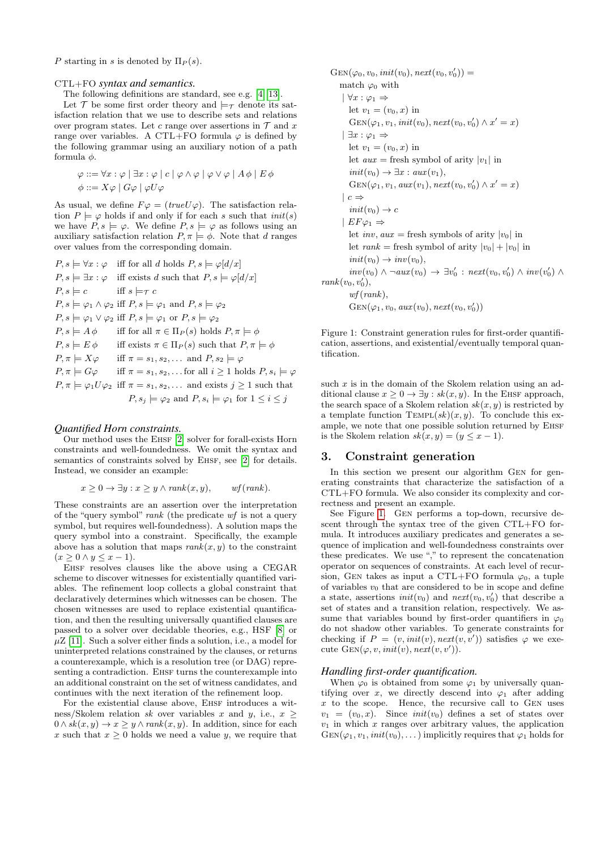P starting in s is denoted by  $\Pi_P(s)$ .

#### CTL+FO *syntax and semantics.*

The following definitions are standard, see e.g. [\[4,](#page-3-4) [13\]](#page-3-10).

Let  $\mathcal T$  be some first order theory and  $\models_{\mathcal T}$  denote its satisfaction relation that we use to describe sets and relations over program states. Let c range over assertions in  $\mathcal T$  and x range over variables. A CTL+FO formula  $\varphi$  is defined by the following grammar using an auxiliary notion of a path formula  $\phi$ .

$$
\varphi ::= \forall x : \varphi \mid \exists x : \varphi \mid c \mid \varphi \land \varphi \mid \varphi \lor \varphi \mid A \phi \mid E \phi
$$
  

$$
\phi ::= X \varphi \mid G \varphi \mid \varphi U \varphi
$$

As usual, we define  $F\varphi = (trueU\varphi)$ . The satisfaction relation  $P \models \varphi$  holds if and only if for each s such that  $init(s)$ we have  $P, s \models \varphi$ . We define  $P, s \models \varphi$  as follows using an auxiliary satisfaction relation  $P, \pi \models \phi$ . Note that d ranges over values from the corresponding domain.

$$
P, s \models \forall x : \varphi \text{ iff for all } d \text{ holds } P, s \models \varphi[d/x]
$$
  
\n
$$
P, s \models \exists x : \varphi \text{ iff exists } d \text{ such that } P, s \models \varphi[d/x]
$$
  
\n
$$
P, s \models c \text{ iff } s \models \tau c
$$
  
\n
$$
P, s \models \varphi_1 \land \varphi_2 \text{ iff } P, s \models \varphi_1 \text{ and } P, s \models \varphi_2
$$
  
\n
$$
P, s \models \varphi_1 \lor \varphi_2 \text{ iff } P, s \models \varphi_1 \text{ or } P, s \models \varphi_2
$$
  
\n
$$
P, s \models A \phi \text{ iff for all } \pi \in \Pi_P(s) \text{ holds } P, \pi \models \phi
$$
  
\n
$$
P, s \models E \phi \text{ iff exists } \pi \in \Pi_P(s) \text{ such that } P, \pi \models \phi
$$
  
\n
$$
P, \pi \models X \varphi \text{ iff } \pi = s_1, s_2, \dots \text{ and } P, s_2 \models \varphi
$$
  
\n
$$
P, \pi \models G \varphi \text{ iff } \pi = s_1, s_2, \dots \text{ for all } i \ge 1 \text{ holds } P, s_i \models \varphi
$$
  
\n
$$
P, \pi \models \varphi_1 U \varphi_2 \text{ iff } \pi = s_1, s_2, \dots \text{ and exists } j \ge 1 \text{ such that }
$$
  
\n
$$
P, s_j \models \varphi_2 \text{ and } P, s_i \models \varphi_1 \text{ for } 1 \le i \le j
$$

## *Quantified Horn constraints.*

Our method uses the EHSF [\[2\]](#page-3-3) solver for forall-exists Horn constraints and well-foundedness. We omit the syntax and semantics of constraints solved by EHSF, see [\[2\]](#page-3-3) for details. Instead, we consider an example:

$$
x \geq 0 \to \exists y : x \geq y \land rank(x, y), \qquad wf(rank).
$$

These constraints are an assertion over the interpretation of the "query symbol" rank (the predicate wf is not a query symbol, but requires well-foundedness). A solution maps the query symbol into a constraint. Specifically, the example above has a solution that maps  $rank(x, y)$  to the constraint  $(x \geq 0 \wedge y \leq x-1).$ 

EHSF resolves clauses like the above using a CEGAR scheme to discover witnesses for existentially quantified variables. The refinement loop collects a global constraint that declaratively determines which witnesses can be chosen. The chosen witnesses are used to replace existential quantification, and then the resulting universally quantified clauses are passed to a solver over decidable theories, e.g., HSF [\[8\]](#page-3-11) or  $\mu$ Z [\[11\]](#page-3-12). Such a solver either finds a solution, i.e., a model for uninterpreted relations constrained by the clauses, or returns a counterexample, which is a resolution tree (or DAG) representing a contradiction. EHSF turns the counterexample into an additional constraint on the set of witness candidates, and continues with the next iteration of the refinement loop.

For the existential clause above, EHSF introduces a witness/Skolem relation sk over variables x and y, i.e.,  $x >$  $0 \wedge sk(x, y) \rightarrow x \geq y \wedge rank(x, y)$ . In addition, since for each x such that  $x \geq 0$  holds we need a value y, we require that

<span id="page-1-0"></span>
$$
GEN(\varphi_0, v_0, init(v_0), next(v_0, v'_0)) =
$$
  
match  $\varphi_0$  with  
 $|\forall x : \varphi_1 \Rightarrow$   
let  $v_1 = (v_0, x)$  in  
 $GEN(\varphi_1, v_1, init(v_0), next(v_0, v'_0) \land x' = x)$   
 $|\exists x : \varphi_1 \Rightarrow$   
let  $v_1 = (v_0, x)$  in  
let  $aux =$  fresh symbol of arity  $|v_1|$  in  
 $init(v_0) \rightarrow \exists x : aux(v_1),$   
 $GEN(\varphi_1, v_1, aux(v_1), next(v_0, v'_0) \land x' = x)$   
 $| c \Rightarrow$   
 $init(v_0) \rightarrow c$   
 $| EF \varphi_1 \Rightarrow$   
let  $inv, aux =$  fresh symbols of arity  $|v_0|$  in  
let  $rank =$  fresh symbol of arity  $|v_0| + |v_0|$  in  
 $init(v_0) \rightarrow inv(v_0),$   
 $inv(v_0) \land \neg aux(v_0) \rightarrow \exists v'_0 : next(v_0, v'_0) \land inv(v'_0) \land$   
 $rank(v_0, v'_0),$   
 $wf(rank),$   
 $GEN(\varphi_1, v_0, aux(v_0), next(v_0, v'_0))$ 

Figure 1: Constraint generation rules for first-order quantification, assertions, and existential/eventually temporal quantification.

such  $x$  is in the domain of the Skolem relation using an additional clause  $x \geq 0 \rightarrow \exists y : sk(x, y)$ . In the EHSF approach, the search space of a Skolem relation  $sk(x, y)$  is restricted by a template function  $\text{TempL}(sk)(x, y)$ . To conclude this example, we note that one possible solution returned by EHSF is the Skolem relation  $sk(x, y) = (y \leq x - 1)$ .

#### 3. Constraint generation

In this section we present our algorithm GEN for generating constraints that characterize the satisfaction of a CTL+FO formula. We also consider its complexity and correctness and present an example.

See Figure [1.](#page-1-0) Gen performs a top-down, recursive descent through the syntax tree of the given CTL+FO formula. It introduces auxiliary predicates and generates a sequence of implication and well-foundedness constraints over these predicates. We use "," to represent the concatenation operator on sequences of constraints. At each level of recursion, GEN takes as input a CTL+FO formula  $\varphi_0$ , a tuple of variables  $v_0$  that are considered to be in scope and define a state, assertions  $init(v_0)$  and  $next(v_0, v'_0)$  that describe a set of states and a transition relation, respectively. We assume that variables bound by first-order quantifiers in  $\varphi_0$ do not shadow other variables. To generate constraints for checking if  $P = (v, init(v), next(v, v'))$  satisfies  $\varphi$  we execute  $GEN(\varphi, v, init(v), next(v, v')).$ 

#### *Handling first-order quantification.*

When  $\varphi_0$  is obtained from some  $\varphi_1$  by universally quantifying over x, we directly descend into  $\varphi_1$  after adding  $x$  to the scope. Hence, the recursive call to GEN uses  $v_1 = (v_0, x)$ . Since  $init(v_0)$  defines a set of states over  $v_1$  in which x ranges over arbitrary values, the application  $GEN(\varphi_1, v_1, init(v_0), \dots)$  implicitly requires that  $\varphi_1$  holds for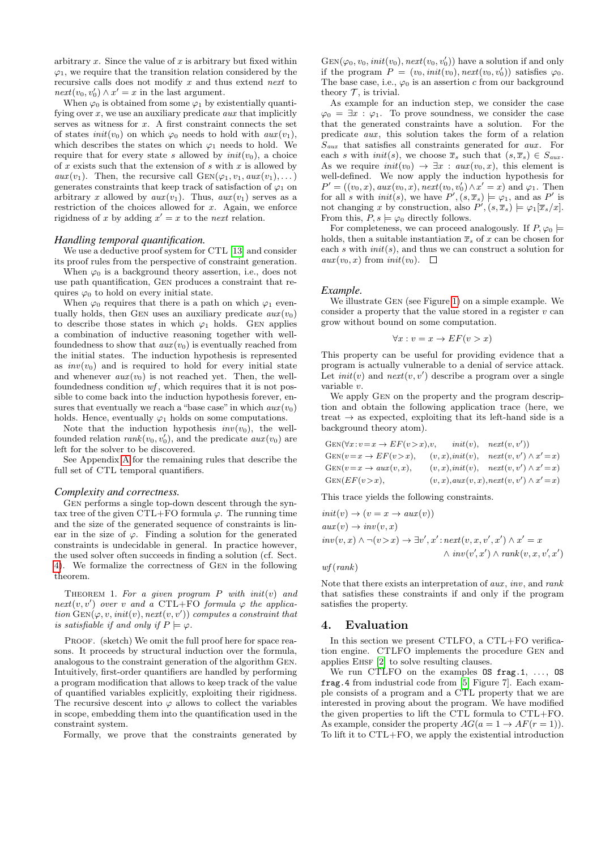arbitrary  $x$ . Since the value of  $x$  is arbitrary but fixed within  $\varphi_1$ , we require that the transition relation considered by the recursive calls does not modify  $x$  and thus extend next to  $next(v_0, v'_0) \wedge x' = x$  in the last argument.

When  $\varphi_0$  is obtained from some  $\varphi_1$  by existentially quantifying over  $x$ , we use an auxiliary predicate *aux* that implicitly serves as witness for  $x$ . A first constraint connects the set of states  $init(v_0)$  on which  $\varphi_0$  needs to hold with  $aux(v_1)$ , which describes the states on which  $\varphi_1$  needs to hold. We require that for every state s allowed by  $init(v_0)$ , a choice of x exists such that the extension of s with x is allowed by  $aux(v_1)$ . Then, the recursive call  $GEN(\varphi_1, v_1, aux(v_1), ...)$ generates constraints that keep track of satisfaction of  $\varphi_1$  on arbitrary x allowed by  $aux(v_1)$ . Thus,  $aux(v_1)$  serves as a restriction of the choices allowed for  $x$ . Again, we enforce rigidness of x by adding  $x' = x$  to the next relation.

### *Handling temporal quantification.*

We use a deductive proof system for CTL [\[13\]](#page-3-10) and consider its proof rules from the perspective of constraint generation.

When  $\varphi_0$  is a background theory assertion, i.e., does not use path quantification, Gen produces a constraint that requires  $\varphi_0$  to hold on every initial state.

When  $\varphi_0$  requires that there is a path on which  $\varphi_1$  eventually holds, then GEN uses an auxiliary predicate  $aux(v_0)$ to describe those states in which  $\varphi_1$  holds. GEN applies a combination of inductive reasoning together with wellfoundedness to show that  $aux(v_0)$  is eventually reached from the initial states. The induction hypothesis is represented as  $inv(v_0)$  and is required to hold for every initial state and whenever  $aux(v_0)$  is not reached yet. Then, the wellfoundedness condition  $wf$ , which requires that it is not possible to come back into the induction hypothesis forever, ensures that eventually we reach a "base case" in which  $aux(v_0)$ holds. Hence, eventually  $\varphi_1$  holds on some computations.

Note that the induction hypothesis  $inv(v_0)$ , the wellfounded relation  $rank(v_0, v'_0)$ , and the predicate  $aux(v_0)$  are left for the solver to be discovered.

See Appendix [A](#page-4-0) for the remaining rules that describe the full set of CTL temporal quantifiers.

#### *Complexity and correctness.*

GEN performs a single top-down descent through the syntax tree of the given CTL+FO formula  $\varphi$ . The running time and the size of the generated sequence of constraints is linear in the size of  $\varphi$ . Finding a solution for the generated constraints is undecidable in general. In practice however, the used solver often succeeds in finding a solution (cf. Sect. [4\)](#page-2-0). We formalize the correctness of Gen in the following theorem.

THEOREM 1. For a given program  $P$  with  $init(v)$  and  $next(v, v')$  over v and a CTL+FO formula  $\varphi$  the applica- $\text{tion } \overrightarrow{GEN}(\varphi, v, \text{init}(v), \text{next}(v, v'))$  computes a constraint that is satisfiable if and only if  $P \models \varphi$ .

PROOF. (sketch) We omit the full proof here for space reasons. It proceeds by structural induction over the formula, analogous to the constraint generation of the algorithm Gen. Intuitively, first-order quantifiers are handled by performing a program modification that allows to keep track of the value of quantified variables explicitly, exploiting their rigidness. The recursive descent into  $\varphi$  allows to collect the variables in scope, embedding them into the quantification used in the constraint system.

Formally, we prove that the constraints generated by

 $GEN(\varphi_0, v_0, init(v_0), next(v_0, v'_0))$  have a solution if and only if the program  $P = (v_0, init(v_0), next(v_0, v'_0))$  satisfies  $\varphi_0$ . The base case, i.e.,  $\varphi_0$  is an assertion c from our background theory  $\mathcal T$ , is trivial.

As example for an induction step, we consider the case  $\varphi_0 = \exists x : \varphi_1$ . To prove soundness, we consider the case that the generated constraints have a solution. For the predicate *aux*, this solution takes the form of a relation  $S_{aux}$  that satisfies all constraints generated for aux. For each s with  $init(s)$ , we choose  $\overline{x}_s$  such that  $(s, \overline{x}_s) \in S_{aux}$ . As we require  $init(v_0) \rightarrow \exists x : aux(v_0, x)$ , this element is well-defined. We now apply the induction hypothesis for  $P' = ((v_0, x), aux(v_0, x), next(v_0, v'_0) \wedge x' = x)$  and  $\varphi_1$ . Then for all s with  $int(s)$ , we have  $P', (s, \overline{x}_s) \models \varphi_1$ , and as P' is not changing x by construction, also  $P', (s, \overline{x}_s) \models \varphi_1[\overline{x}_s/x]$ . From this,  $P, s \models \varphi_0$  directly follows.

For completeness, we can proceed analogously. If  $P, \varphi_0 \models$ holds, then a suitable instantiation  $\bar{x}_s$  of x can be chosen for each s with  $init(s)$ , and thus we can construct a solution for  $aux(v_0, x)$  from  $init(v_0)$ .  $\Box$ 

#### *Example.*

We illustrate Gen (see Figure [1\)](#page-1-0) on a simple example. We consider a property that the value stored in a register  $v$  can grow without bound on some computation.

$$
\forall x : v = x \to EF(v > x)
$$

This property can be useful for providing evidence that a program is actually vulnerable to a denial of service attack. Let  $init(v)$  and  $next(v, v')$  describe a program over a single variable v.

We apply GEN on the property and the program description and obtain the following application trace (here, we treat  $\rightarrow$  as expected, exploiting that its left-hand side is a background theory atom).

$$
\begin{aligned} &\text{GEN}(\forall x \colon v = x \to EF(v > x), v, \quad \ \ init(v), \quad next(v, v')) \\ &\text{GEN}(v = x \to EF(v > x), \quad \ \ (v, x), init(v), \quad next(v, v') \land x' = x) \\ &\text{GEN}(v = x \to aux(v, x), \quad \quad \ \ (v, x), init(v), \quad next(v, v') \land x' = x) \\ &\text{GEN}(EF(v > x), \quad \quad \ \ (v, x), aux(v, x), next(v, v') \land x' = x)\end{aligned}
$$

This trace yields the following constraints.

$$
init(v) \rightarrow (v = x \rightarrow aux(v))
$$
  
\n
$$
aux(v) \rightarrow inv(v, x)
$$
  
\n
$$
inv(v, x) \land \neg(v > x) \rightarrow \exists v', x': next(v, x, v', x') \land x' = x
$$
  
\n
$$
\land inv(v', x') \land rank(v, x, v', x')
$$

 $wf(rank)$ 

Note that there exists an interpretation of *aux*, *inv*, and *rank* that satisfies these constraints if and only if the program satisfies the property.

#### <span id="page-2-0"></span>4. Evaluation

In this section we present CTLFO, a CTL+FO verification engine. CTLFO implements the procedure Gen and applies EHSF [\[2\]](#page-3-3) to solve resulting clauses.

We run CTLFO on the examples  $OS$  frag.1, ...,  $OS$ frag.4 from industrial code from [\[5,](#page-3-13) Figure 7]. Each example consists of a program and a CTL property that we are interested in proving about the program. We have modified the given properties to lift the CTL formula to CTL+FO. As example, consider the property  $AG(a = 1 \rightarrow AF(r = 1))$ . To lift it to CTL+FO, we apply the existential introduction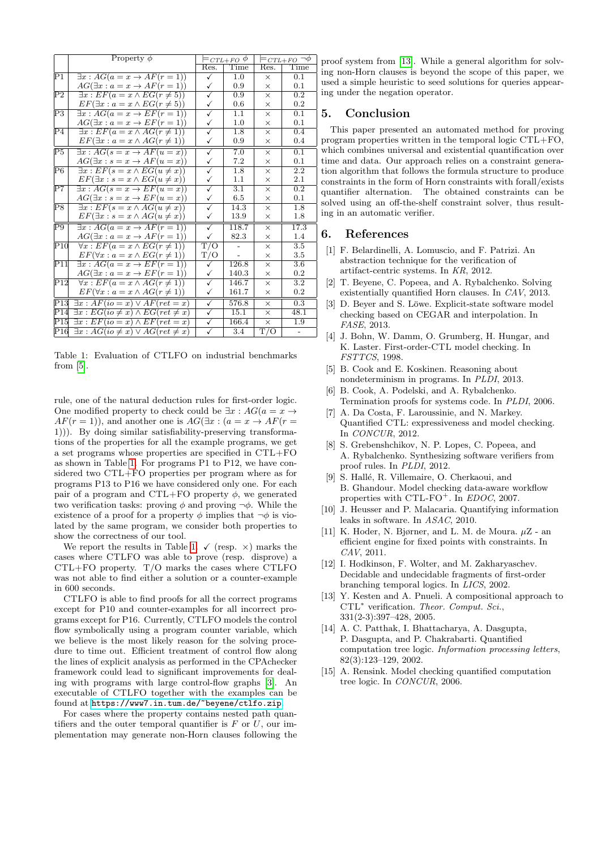<span id="page-3-14"></span>

|                                    | Property $\phi$                                           | $\models$ CTL+FO $\phi$ |                  | $\models$ $_{CTL+FO}$ $\neg \phi$ |                  |
|------------------------------------|-----------------------------------------------------------|-------------------------|------------------|-----------------------------------|------------------|
|                                    |                                                           | Res.                    | Time             | Res.                              | Time             |
| $\overline{\mathrm{P1}}$           | $\exists x:AG(a=x\rightarrow AF(r=1))$                    | $\checkmark$            | $\overline{1.0}$ | $\times$                          | $\overline{0.1}$ |
|                                    | $AG(\exists x : a = x \rightarrow AF(r = 1))$             | ✓                       | 0.9              | $\times$                          | 0.1              |
| $\overline{\mathrm{P}2}$           | $\exists x : EF(a = x \wedge EG(r \neq 5))$               | $\checkmark$            | 0.9              | $\times$                          | 0.2              |
|                                    | $EF(\exists x : a = x \wedge EG(r \neq 5))$               | ✓                       | 0.6              | $\times$                          | 0.2              |
| $\overline{\mathrm{P3}}$           | $\exists x : AG(a = x \rightarrow EF(r = 1))$             | ✓                       | 1.1              | $\times$                          | 0.1              |
|                                    | $AG(\exists x : a = x \rightarrow EF(r = 1))$             | ✓                       | 1.0              | $\times$                          | 0.1              |
| $\overline{P4}$                    | $\exists x : EF(a = x \land AG(r \neq 1))$                | ✓                       | $\overline{1.8}$ | $\times$                          | 0.4              |
|                                    | $EF(\exists x : a = x \land AG(r \neq 1))$                | ✓                       | 0.9              | $\times$                          | 0.4              |
| $\mathbb{P}5$                      | $\exists x : AG(s = x \rightarrow AF(u = x))$             | $\checkmark$            | 7.0              | $\times$                          | 0.1              |
|                                    | $AG(\exists x : s = x \rightarrow AF(u = x))$             | ✓                       | 7.2              | $\times$                          | 0.1              |
| $\overline{\mathrm{P6}}$           | $\exists x : EF(s = x \wedge EG(u \neq x))$               | $\overline{\checkmark}$ | 1.8              | $\times$                          | $\overline{2.2}$ |
|                                    | $EF(\exists x : s = x \land EG(u \neq x))$                | ✓                       | 1.1              | $\times$                          | 2.1              |
| $\overline{\mathrm{P}7}$           | $\exists x : AG(s = x \rightarrow EF(u = x))$             | $\overline{\checkmark}$ | $\overline{3.1}$ | $\times$                          | $\overline{0.2}$ |
|                                    | $AG(\exists x : s = x \rightarrow EF(u = x))$             | ✓                       | 6.5              | $\times$                          | 0.1              |
| $_{\rm P8}$                        | $\exists x : EF(s = x \land AG(u \neq x))$                | $\checkmark$            | 14.3             | $\times$                          | 1.8              |
|                                    | $EF(\exists x : s = x \land AG(u \neq x))$                | ✓                       | 13.9             | $\times$                          | 1.8              |
| P9                                 | $\exists x:AG(a=x\rightarrow AF(r=1))$                    | $\overline{\checkmark}$ | 118.7            | $\times$                          | 17.3             |
|                                    | $AG(\exists x : a = x \rightarrow AF(r = 1))$             | $\checkmark$            | 82.3             | ×                                 | 1.4              |
| $\overline{\text{P10}}$            | $\forall x : EF(a = x \land EG(r \neq 1))$                | T/O                     |                  | $\times$                          | $\overline{3.5}$ |
|                                    | $EF(\forall x : a = x \land EG(r \neq 1))$                | $\rm T/O$               |                  | $\times$                          | 3.5              |
| $_\mathrm{P11}$                    | $\exists x:AG(a=x\rightarrow EF(r=1))$                    | $\checkmark$            | 126.8            | $\times$                          | 3.6              |
|                                    | $AG(\exists x : a = x \rightarrow EF(r = 1))$             | ✓                       | 140.3            | $\times$                          | 0.2              |
| $\overline{\text{P12}}$            | $\forall x : EF(a = x \land AG(r \neq 1))$                | $\sqrt{}$               | 146.7            | $\times$                          | $\overline{3.2}$ |
|                                    | $EF(\forall x : a = x \land AG(r \neq 1))$                | ✓                       | 161.7            | $\times$                          | 0.2              |
| $\overline{\mathrm{P13}}$          | $\exists x : AF(io = x) \vee AF(ret = x)$                 | ✓                       | 576.8            | $\times$                          | 0.3              |
| $\rm P14$                          | $\exists x : EG(i\text{ }o \neq x) \wedge EG(ret \neq x)$ | ✓                       | 15.1             | $\times$                          | 48.1             |
| $_\mathrm{P15}$                    | $\exists x : EF(io = x) \wedge EF(ret = x)$               | ✓                       | 166.4            | $\times$                          | 1.9              |
| $\overline{\text{P}}\overline{16}$ | $\exists x : AG(i\text{o} \neq x) \vee AG(ret \neq x)$    | ✓                       | 3.4              | T/O                               |                  |

Table 1: Evaluation of CTLFO on industrial benchmarks from [\[5\]](#page-3-13).

rule, one of the natural deduction rules for first-order logic. One modified property to check could be  $\exists x : AG(a = x \rightarrow$  $AF(r = 1)$ ), and another one is  $AG(\exists x : (a = x \rightarrow AF(r =$ 1))). By doing similar satisfiability-preserving transformations of the properties for all the example programs, we get a set programs whose properties are specified in CTL+FO as shown in Table [1.](#page-3-14) For programs P1 to P12, we have considered two CTL+FO properties per program where as for programs P13 to P16 we have considered only one. For each pair of a program and CTL+FO property  $\phi$ , we generated two verification tasks: proving  $\phi$  and proving  $\neg \phi$ . While the existence of a proof for a property  $\phi$  implies that  $\neg \phi$  is violated by the same program, we consider both properties to show the correctness of our tool.

We report the results in Table [1.](#page-3-14)  $\checkmark$  (resp.  $\times$ ) marks the cases where CTLFO was able to prove (resp. disprove) a CTL+FO property. T/O marks the cases where CTLFO was not able to find either a solution or a counter-example in 600 seconds.

CTLFO is able to find proofs for all the correct programs except for P10 and counter-examples for all incorrect programs except for P16. Currently, CTLFO models the control flow symbolically using a program counter variable, which we believe is the most likely reason for the solving procedure to time out. Efficient treatment of control flow along the lines of explicit analysis as performed in the CPAchecker framework could lead to significant improvements for dealing with programs with large control-flow graphs [\[3\]](#page-3-15). An executable of CTLFO together with the examples can be found at <https://www7.in.tum.de/~beyene/ctlfo.zip>.

For cases where the property contains nested path quantifiers and the outer temporal quantifier is  $F$  or  $U$ , our implementation may generate non-Horn clauses following the

proof system from [\[13\]](#page-3-10). While a general algorithm for solving non-Horn clauses is beyond the scope of this paper, we used a simple heuristic to seed solutions for queries appearing under the negation operator.

# 5. Conclusion

This paper presented an automated method for proving program properties written in the temporal logic CTL+FO, which combines universal and existential quantification over time and data. Our approach relies on a constraint generation algorithm that follows the formula structure to produce constraints in the form of Horn constraints with forall/exists quantifier alternation. The obtained constraints can be solved using an off-the-shelf constraint solver, thus resulting in an automatic verifier.

## 6. References

- <span id="page-3-9"></span>[1] F. Belardinelli, A. Lomuscio, and F. Patrizi. An abstraction technique for the verification of artifact-centric systems. In KR, 2012.
- <span id="page-3-3"></span>[2] T. Beyene, C. Popeea, and A. Rybalchenko. Solving existentially quantified Horn clauses. In CAV, 2013.
- <span id="page-3-15"></span>[3] D. Beyer and S. Löwe. Explicit-state software model checking based on CEGAR and interpolation. In FASE, 2013.
- <span id="page-3-4"></span>[4] J. Bohn, W. Damm, O. Grumberg, H. Hungar, and K. Laster. First-order-CTL model checking. In FSTTCS, 1998.
- <span id="page-3-13"></span>[5] B. Cook and E. Koskinen. Reasoning about nondeterminism in programs. In PLDI, 2013.
- <span id="page-3-0"></span>[6] B. Cook, A. Podelski, and A. Rybalchenko. Termination proofs for systems code. In PLDI, 2006.
- <span id="page-3-8"></span>[7] A. Da Costa, F. Laroussinie, and N. Markey. Quantified CTL: expressiveness and model checking. In CONCUR, 2012.
- <span id="page-3-11"></span>[8] S. Grebenshchikov, N. P. Lopes, C. Popeea, and A. Rybalchenko. Synthesizing software verifiers from proof rules. In PLDI, 2012.
- <span id="page-3-5"></span>[9] S. Hallé, R. Villemaire, O. Cherkaoui, and B. Ghandour. Model checking data-aware workflow properties with CTL-FO<sup>+</sup>. In *EDOC*, 2007.
- <span id="page-3-2"></span>[10] J. Heusser and P. Malacaria. Quantifying information leaks in software. In ASAC, 2010.
- <span id="page-3-12"></span>[11] K. Hoder, N. Bjørner, and L. M. de Moura.  $\mu Z$  - an efficient engine for fixed points with constraints. In CAV, 2011.
- <span id="page-3-1"></span>[12] I. Hodkinson, F. Wolter, and M. Zakharyaschev. Decidable and undecidable fragments of first-order branching temporal logics. In LICS, 2002.
- <span id="page-3-10"></span>[13] Y. Kesten and A. Pnueli. A compositional approach to CTL<sup>∗</sup> verification. Theor. Comput. Sci., 331(2-3):397–428, 2005.
- <span id="page-3-6"></span>[14] A. C. Patthak, I. Bhattacharya, A. Dasgupta, P. Dasgupta, and P. Chakrabarti. Quantified computation tree logic. Information processing letters, 82(3):123–129, 2002.
- <span id="page-3-7"></span>[15] A. Rensink. Model checking quantified computation tree logic. In CONCUR, 2006.